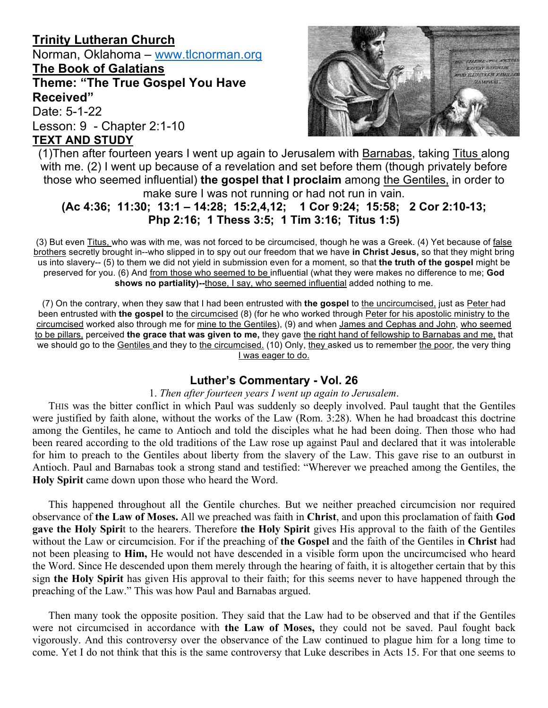# **Trinity Lutheran Church**

Norman, Oklahoma – www.tlcnorman.org **The Book of Galatians**

**Theme: "The True Gospel You Have Received"**

Date: 5-1-22 Lesson: 9 - Chapter 2:1-10 **TEXT AND STUDY**



(1)Then after fourteen years I went up again to Jerusalem with Barnabas, taking Titus along with me. (2) I went up because of a revelation and set before them (though privately before those who seemed influential) **the gospel that I proclaim** among the Gentiles, in order to make sure I was not running or had not run in vain.

## **(Ac 4:36; 11:30; 13:1 – 14:28; 15:2,4,12; 1 Cor 9:24; 15:58; 2 Cor 2:10-13; Php 2:16; 1 Thess 3:5; 1 Tim 3:16; Titus 1:5)**

(3) But even Titus, who was with me, was not forced to be circumcised, though he was a Greek. (4) Yet because of false brothers secretly brought in--who slipped in to spy out our freedom that we have **in Christ Jesus,** so that they might bring us into slavery-- (5) to them we did not yield in submission even for a moment, so that **the truth of the gospel** might be preserved for you. (6) And from those who seemed to be influential (what they were makes no difference to me; **God shows no partiality)--**those, I say, who seemed influential added nothing to me.

(7) On the contrary, when they saw that I had been entrusted with **the gospel** to the uncircumcised, just as Peter had been entrusted with **the gospel** to the circumcised (8) (for he who worked through Peter for his apostolic ministry to the circumcised worked also through me for mine to the Gentiles), (9) and when James and Cephas and John, who seemed to be pillars, perceived **the grace that was given to me,** they gave the right hand of fellowship to Barnabas and me, that we should go to the Gentiles and they to the circumcised. (10) Only, they asked us to remember the poor, the very thing I was eager to do.

### **Luther's Commentary - Vol. 26**

#### 1. *Then after fourteen years I went up again to Jerusalem*.

THIS was the bitter conflict in which Paul was suddenly so deeply involved. Paul taught that the Gentiles were justified by faith alone, without the works of the Law (Rom. 3:28). When he had broadcast this doctrine among the Gentiles, he came to Antioch and told the disciples what he had been doing. Then those who had been reared according to the old traditions of the Law rose up against Paul and declared that it was intolerable for him to preach to the Gentiles about liberty from the slavery of the Law. This gave rise to an outburst in Antioch. Paul and Barnabas took a strong stand and testified: "Wherever we preached among the Gentiles, the **Holy Spirit** came down upon those who heard the Word.

This happened throughout all the Gentile churches. But we neither preached circumcision nor required observance of **the Law of Moses.** All we preached was faith in **Christ**, and upon this proclamation of faith **God gave the Holy Spiri**t to the hearers. Therefore **the Holy Spirit** gives His approval to the faith of the Gentiles without the Law or circumcision. For if the preaching of **the Gospel** and the faith of the Gentiles in **Christ** had not been pleasing to **Him,** He would not have descended in a visible form upon the uncircumcised who heard the Word. Since He descended upon them merely through the hearing of faith, it is altogether certain that by this sign **the Holy Spirit** has given His approval to their faith; for this seems never to have happened through the preaching of the Law." This was how Paul and Barnabas argued.

Then many took the opposite position. They said that the Law had to be observed and that if the Gentiles were not circumcised in accordance with **the Law of Moses,** they could not be saved. Paul fought back vigorously. And this controversy over the observance of the Law continued to plague him for a long time to come. Yet I do not think that this is the same controversy that Luke describes in Acts 15. For that one seems to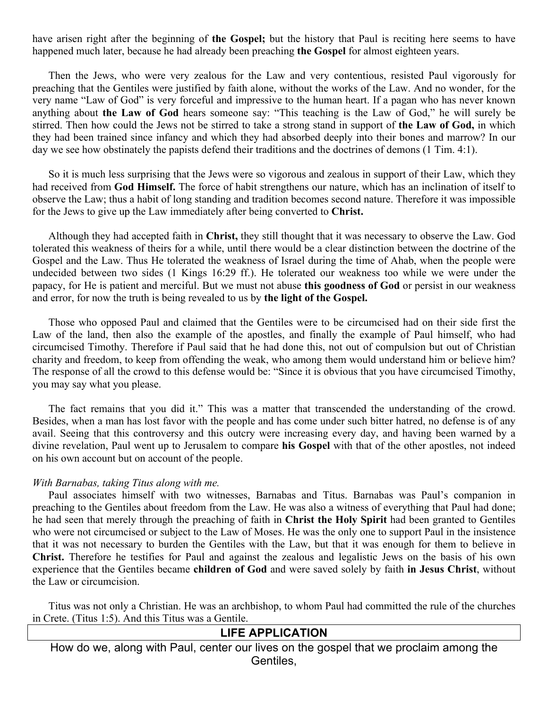have arisen right after the beginning of **the Gospel;** but the history that Paul is reciting here seems to have happened much later, because he had already been preaching **the Gospel** for almost eighteen years.

Then the Jews, who were very zealous for the Law and very contentious, resisted Paul vigorously for preaching that the Gentiles were justified by faith alone, without the works of the Law. And no wonder, for the very name "Law of God" is very forceful and impressive to the human heart. If a pagan who has never known anything about **the Law of God** hears someone say: "This teaching is the Law of God," he will surely be stirred. Then how could the Jews not be stirred to take a strong stand in support of **the Law of God,** in which they had been trained since infancy and which they had absorbed deeply into their bones and marrow? In our day we see how obstinately the papists defend their traditions and the doctrines of demons (1 Tim. 4:1).

So it is much less surprising that the Jews were so vigorous and zealous in support of their Law, which they had received from **God Himself.** The force of habit strengthens our nature, which has an inclination of itself to observe the Law; thus a habit of long standing and tradition becomes second nature. Therefore it was impossible for the Jews to give up the Law immediately after being converted to **Christ.**

Although they had accepted faith in **Christ,** they still thought that it was necessary to observe the Law. God tolerated this weakness of theirs for a while, until there would be a clear distinction between the doctrine of the Gospel and the Law. Thus He tolerated the weakness of Israel during the time of Ahab, when the people were undecided between two sides (1 Kings 16:29 ff.). He tolerated our weakness too while we were under the papacy, for He is patient and merciful. But we must not abuse **this goodness of God** or persist in our weakness and error, for now the truth is being revealed to us by **the light of the Gospel.**

Those who opposed Paul and claimed that the Gentiles were to be circumcised had on their side first the Law of the land, then also the example of the apostles, and finally the example of Paul himself, who had circumcised Timothy. Therefore if Paul said that he had done this, not out of compulsion but out of Christian charity and freedom, to keep from offending the weak, who among them would understand him or believe him? The response of all the crowd to this defense would be: "Since it is obvious that you have circumcised Timothy, you may say what you please.

The fact remains that you did it." This was a matter that transcended the understanding of the crowd. Besides, when a man has lost favor with the people and has come under such bitter hatred, no defense is of any avail. Seeing that this controversy and this outcry were increasing every day, and having been warned by a divine revelation, Paul went up to Jerusalem to compare **his Gospel** with that of the other apostles, not indeed on his own account but on account of the people.

#### *With Barnabas, taking Titus along with me.*

Paul associates himself with two witnesses, Barnabas and Titus. Barnabas was Paul's companion in preaching to the Gentiles about freedom from the Law. He was also a witness of everything that Paul had done; he had seen that merely through the preaching of faith in **Christ the Holy Spirit** had been granted to Gentiles who were not circumcised or subject to the Law of Moses. He was the only one to support Paul in the insistence that it was not necessary to burden the Gentiles with the Law, but that it was enough for them to believe in **Christ.** Therefore he testifies for Paul and against the zealous and legalistic Jews on the basis of his own experience that the Gentiles became **children of God** and were saved solely by faith **in Jesus Christ**, without the Law or circumcision.

Titus was not only a Christian. He was an archbishop, to whom Paul had committed the rule of the churches in Crete. (Titus 1:5). And this Titus was a Gentile.

#### **LIFE APPLICATION**

How do we, along with Paul, center our lives on the gospel that we proclaim among the Gentiles,